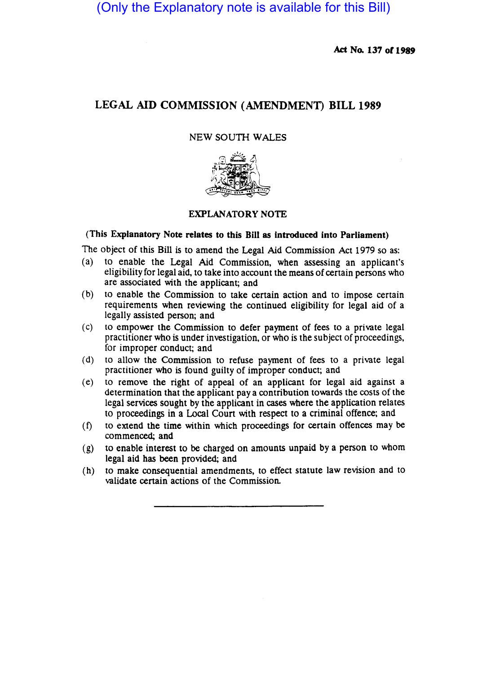(Only the Explanatory note is available for this Bill)

Act No. 137 or 1989

# LEGAL AID COMMISSION (AMENDMENT) BILL 1989

## NEW SOUTH WALES



## EXPLANATORY NOTE

### (This Explanatory Note relates to this Bill as introduced into Parliament)

The object of this Bill is to amend the Legal Aid Commission Act 1979 so as:

- (a) to enable the Legal Aid Commission, when assessing an applicant's eligibility for legal aid, to take into account the means of certain persons who are associated with the applicant; and
- (b) to enable the Commission to take certain action and to impose certain requirements when reviewing the continued eligibility for legal aid of a legally assisted person; and
- (c) to empower the Commission to defer payment of fees to a private legal practitioner who is under investigation, or who is the subject of proceedings, for improper conduct; and
- (d) to allow the Commission to refuse payment of fees to a private legal practitioner who is found guilty of improper conduct; and
- ( e) to remove the right of appeal of an applicant for legal aid against a determination that the applicant pay a contribution towards the costs of the legal services sought by the applicant in cases where the application relates to proceedings in a Local Court with respect to a criminal offence; and
- (f) to extend the time within which proceedings for certain offences may be commenced; and
- (g) to enable interest to be charged on amounts unpaid by a person to whom legal aid has been provided; and
- (h) to make consequential amendments, to effect statute law revision and to validate certain actions of the Commission.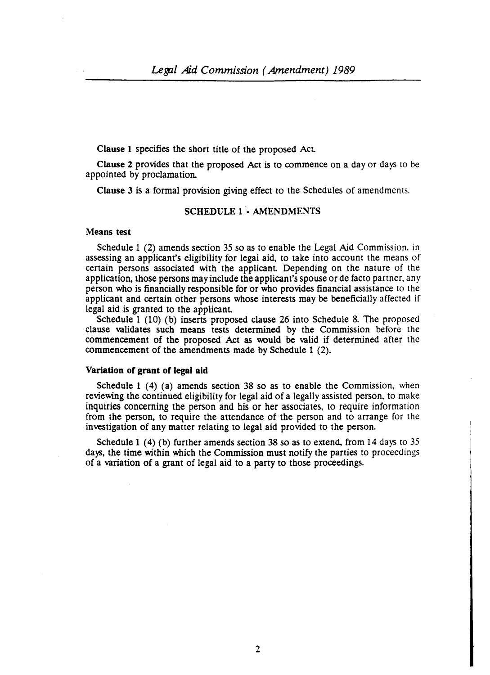Clause 1 specifies the short title of the proposed Act

Clause 2 provides that the proposed Act is to commence on a day or days to be appointed by proclamation.

Clause 3 is a formal provision giving effect to the Schedules of amendments.

### SCHEDULE 1 - AMENDMENTS

#### Means test

Schedule 1 (2) amends section 35 so as to enable the Legal Aid Commission. in assessing an applicant's eligibility for legai aid, to take into account the means of certain persons associated with the applicant Depending on the nature of the application, those persons may include the applicant's spouse or de facto partner, any person who is financially responsible for or who provides financial assistance to the applicant and certain other persons whose interests may be beneficially affected if legal aid is granted to the applicant

Schedule 1 (10) (b) inserts proposed clause 26 into Schedule 8. The proposed clause validates such means tests determined by the Commission before the commencement of the proposed Act as would be valid if determined after the commencement of the amendments made by Schedule 1 (2).

### Variation of grant of legal aid

Schedule 1 (4) (a) amends section 38 so as to enable the Commission, when reviewing the continued eligibility for legal aid of a legally assisted person, to make inquiries concerning the person and his or her associates, to require information from the person, to require the attendance of the person and to arrange for the investigation of any matter relating to legal aid provided to the person.

Schedule 1 (4) (b) further amends section 38 so as to extend, from 14 days to 35 days, the time within which the Commission must notify the parties to proceedings of a variation of a grant of legal aid to a party to those proceedings.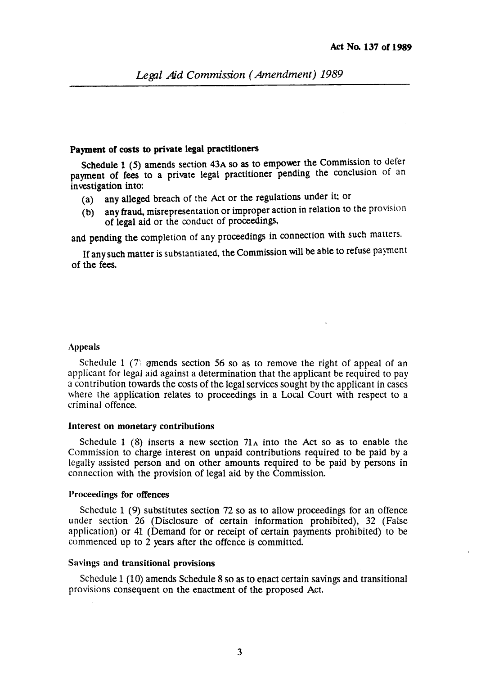# Payment of costs to private legal practitioners

Schedule 1 (5) amends section  $43A$  so as to empower the Commission to defer payment of fees to a private legal practitioner pending the conclusion of an investigation into:

- (a) any alleged breach of the Act or the regulations under it; or
- (b) any fraud, misrepresentation or improper action in relation to the provision of legal aid or the conduct of proceedmgs,

and pending the completion of any proceedings in connection with such matters.

If any such matter is substantiated, the Commission will be able to refuse pajment of the fees.

## Appeals

Schedule 1 (7) amends section 56 so as to remove the right of appeal of an applicant for legal aid against a determination that the applicant be required to pay a contribution towards the costs of the legal services sought by the applicant in cases where the application relates to proceedings in a Local Court with respect to a criminal offence.

#### Interest on monetary contributions

Schedule 1 (8) inserts a new section  $71_A$  into the Act so as to enable the Commission to charge interest on unpaid contributions required to be paid by a legally assisted person and on other amounts required to be paid by persons in connection with the provision of legal aid by the Commission.

### Proceedings for offences

Schedule 1 (9) substitutes section 72 so as to allow proceedings for an offence under section 26 (Disclosure of certain information prohibited), 32 (False application) or 41 (Demand for or receipt of certain payments prohibited) to be commenced up to 2 years after the offence is committed.

### Savings and transitional provisions

Schedule 1 (10) amends Schedule 8 so as to enact certain savings and transitional provisions consequent on the enactment of the proposed Act.